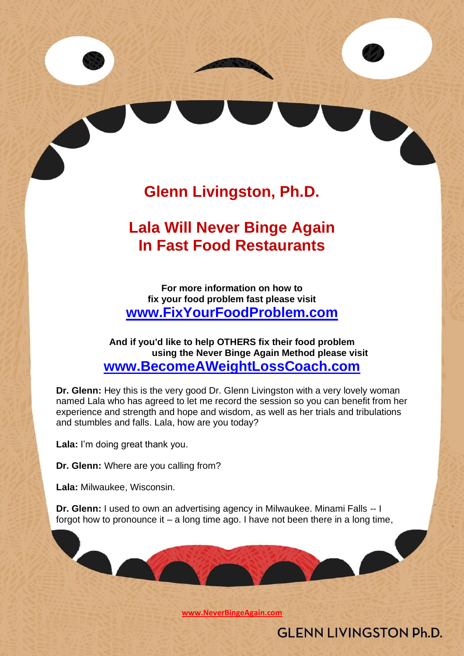# **Glenn Livingston, Ph.D.**

## **Lala Will Never Binge Again In Fast Food Restaurants**

**For more information on how to fix your food problem fast please visit [www.FixYourFoodProblem.com](http://www.fixyourfoodproblem.com/)**

**And if you'd like to help OTHERS fix their food problem using the Never Binge Again Method please visit [www.BecomeAWeightLossCoach.com](http://www.becomeaweightlosscoach.com/)**

**Dr. Glenn:** Hey this is the very good Dr. Glenn Livingston with a very lovely woman named Lala who has agreed to let me record the session so you can benefit from her experience and strength and hope and wisdom, as well as her trials and tribulations and stumbles and falls. Lala, how are you today?

**Lala:** I'm doing great thank you.

**Dr. Glenn:** Where are you calling from?

**Lala:** Milwaukee, Wisconsin.

**Dr. Glenn:** I used to own an advertising agency in Milwaukee. Minami Falls -- I forgot how to pronounce it  $-$  a long time ago. I have not been there in a long time,

**[www.NeverBingeAgain.com](http://www.neverbingeagain.com/)**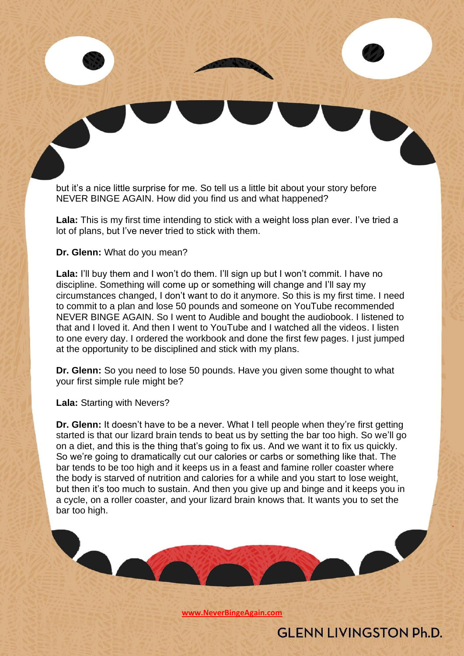but it's a nice little surprise for me. So tell us a little bit about your story before NEVER BINGE AGAIN. How did you find us and what happened?

**Lala:** This is my first time intending to stick with a weight loss plan ever. I've tried a lot of plans, but I've never tried to stick with them.

**Dr. Glenn:** What do you mean?

Lala: I'll buy them and I won't do them. I'll sign up but I won't commit. I have no discipline. Something will come up or something will change and I'll say my circumstances changed, I don't want to do it anymore. So this is my first time. I need to commit to a plan and lose 50 pounds and someone on YouTube recommended NEVER BINGE AGAIN. So I went to Audible and bought the audiobook. I listened to that and I loved it. And then I went to YouTube and I watched all the videos. I listen to one every day. I ordered the workbook and done the first few pages. I just jumped at the opportunity to be disciplined and stick with my plans.

**Dr. Glenn:** So you need to lose 50 pounds. Have you given some thought to what your first simple rule might be?

**Lala:** Starting with Nevers?

**Dr. Glenn:** It doesn't have to be a never. What I tell people when they're first getting started is that our lizard brain tends to beat us by setting the bar too high. So we'll go on a diet, and this is the thing that's going to fix us. And we want it to fix us quickly. So we're going to dramatically cut our calories or carbs or something like that. The bar tends to be too high and it keeps us in a feast and famine roller coaster where the body is starved of nutrition and calories for a while and you start to lose weight, but then it's too much to sustain. And then you give up and binge and it keeps you in a cycle, on a roller coaster, and your lizard brain knows that. It wants you to set the bar too high.

**[www.NeverBingeAgain.com](http://www.neverbingeagain.com/)**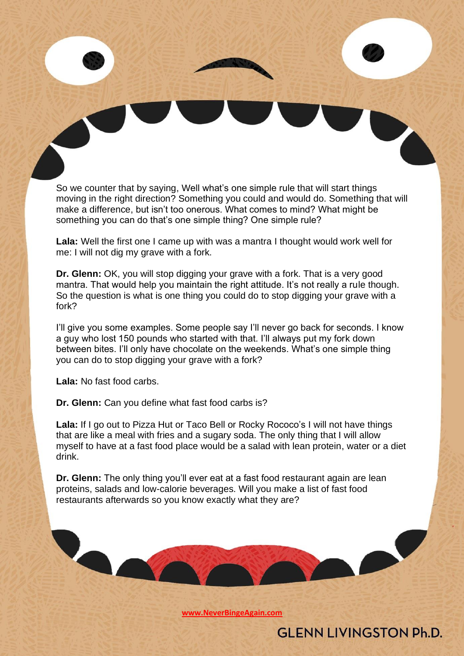So we counter that by saying, Well what's one simple rule that will start things moving in the right direction? Something you could and would do. Something that will make a difference, but isn't too onerous. What comes to mind? What might be something you can do that's one simple thing? One simple rule?

**Lala:** Well the first one I came up with was a mantra I thought would work well for me: I will not dig my grave with a fork.

**Dr. Glenn:** OK, you will stop digging your grave with a fork. That is a very good mantra. That would help you maintain the right attitude. It's not really a rule though. So the question is what is one thing you could do to stop digging your grave with a fork?

I'll give you some examples. Some people say I'll never go back for seconds. I know a guy who lost 150 pounds who started with that. I'll always put my fork down between bites. I'll only have chocolate on the weekends. What's one simple thing you can do to stop digging your grave with a fork?

**Lala:** No fast food carbs.

**Dr. Glenn:** Can you define what fast food carbs is?

**Lala:** If I go out to Pizza Hut or Taco Bell or Rocky Rococo's I will not have things that are like a meal with fries and a sugary soda. The only thing that I will allow myself to have at a fast food place would be a salad with lean protein, water or a diet drink.

**Dr. Glenn:** The only thing you'll ever eat at a fast food restaurant again are lean proteins, salads and low-calorie beverages. Will you make a list of fast food restaurants afterwards so you know exactly what they are?

**[www.NeverBingeAgain.com](http://www.neverbingeagain.com/)**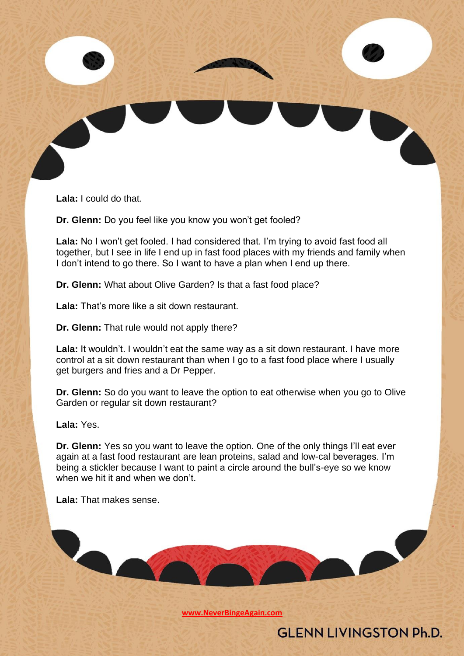**Lala:** I could do that.

**Dr. Glenn:** Do you feel like you know you won't get fooled?

**Lala:** No I won't get fooled. I had considered that. I'm trying to avoid fast food all together, but I see in life I end up in fast food places with my friends and family when I don't intend to go there. So I want to have a plan when I end up there.

**Dr. Glenn:** What about Olive Garden? Is that a fast food place?

**Lala:** That's more like a sit down restaurant.

**Dr. Glenn:** That rule would not apply there?

**Lala:** It wouldn't. I wouldn't eat the same way as a sit down restaurant. I have more control at a sit down restaurant than when I go to a fast food place where I usually get burgers and fries and a Dr Pepper.

**Dr. Glenn:** So do you want to leave the option to eat otherwise when you go to Olive Garden or regular sit down restaurant?

**Lala:** Yes.

**Dr. Glenn:** Yes so you want to leave the option. One of the only things I'll eat ever again at a fast food restaurant are lean proteins, salad and low-cal beverages. I'm being a stickler because I want to paint a circle around the bull's-eye so we know when we hit it and when we don't.

**Lala:** That makes sense.

**Act** 

**[www.NeverBingeAgain.com](http://www.neverbingeagain.com/)**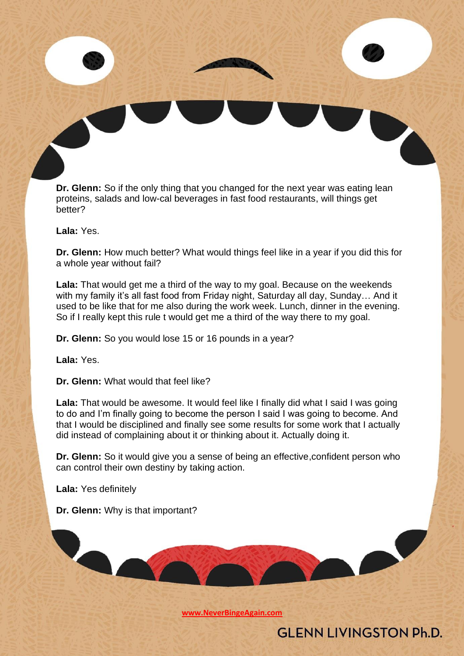**Dr. Glenn:** So if the only thing that you changed for the next year was eating lean proteins, salads and low-cal beverages in fast food restaurants, will things get better?

**Lala:** Yes.

**Dr. Glenn:** How much better? What would things feel like in a year if you did this for a whole year without fail?

**Lala:** That would get me a third of the way to my goal. Because on the weekends with my family it's all fast food from Friday night, Saturday all day, Sunday… And it used to be like that for me also during the work week. Lunch, dinner in the evening. So if I really kept this rule t would get me a third of the way there to my goal.

**Dr. Glenn:** So you would lose 15 or 16 pounds in a year?

**Lala:** Yes.

**Dr. Glenn:** What would that feel like?

Lala: That would be awesome. It would feel like I finally did what I said I was going to do and I'm finally going to become the person I said I was going to become. And that I would be disciplined and finally see some results for some work that I actually did instead of complaining about it or thinking about it. Actually doing it.

**Dr. Glenn:** So it would give you a sense of being an effective,confident person who can control their own destiny by taking action.

**Lala:** Yes definitely

**Dr. Glenn:** Why is that important?

**[www.NeverBingeAgain.com](http://www.neverbingeagain.com/)**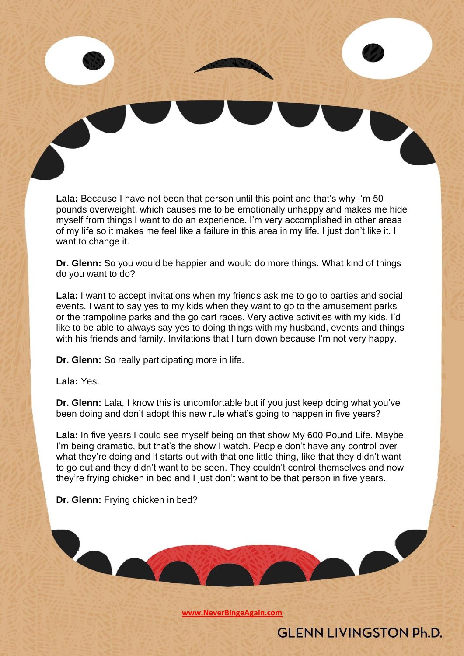**Lala:** Because I have not been that person until this point and that's why I'm 50 pounds overweight, which causes me to be emotionally unhappy and makes me hide myself from things I want to do an experience. I'm very accomplished in other areas of my life so it makes me feel like a failure in this area in my life. I just don't like it. I want to change it.

**Dr. Glenn:** So you would be happier and would do more things. What kind of things do you want to do?

**Lala:** I want to accept invitations when my friends ask me to go to parties and social events. I want to say yes to my kids when they want to go to the amusement parks or the trampoline parks and the go cart races. Very active activities with my kids. I'd like to be able to always say yes to doing things with my husband, events and things with his friends and family. Invitations that I turn down because I'm not very happy.

**Dr. Glenn:** So really participating more in life.

**Lala:** Yes.

**Dr. Glenn:** Lala, I know this is uncomfortable but if you just keep doing what you've been doing and don't adopt this new rule what's going to happen in five years?

**Lala:** In five years I could see myself being on that show My 600 Pound Life. Maybe I'm being dramatic, but that's the show I watch. People don't have any control over what they're doing and it starts out with that one little thing, like that they didn't want to go out and they didn't want to be seen. They couldn't control themselves and now they're frying chicken in bed and I just don't want to be that person in five years.

**Dr. Glenn:** Frying chicken in bed?

**[www.NeverBingeAgain.com](http://www.neverbingeagain.com/)**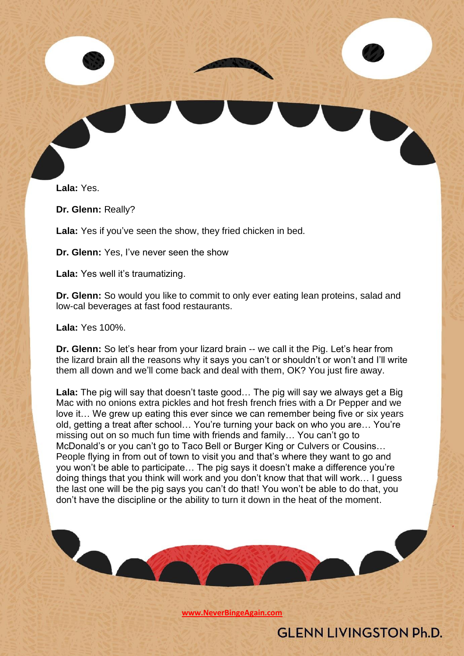

**Lala:** Yes.

**Dr. Glenn:** Really?

**Lala:** Yes if you've seen the show, they fried chicken in bed.

**Dr. Glenn:** Yes, I've never seen the show

**Lala:** Yes well it's traumatizing.

**Dr. Glenn:** So would you like to commit to only ever eating lean proteins, salad and low-cal beverages at fast food restaurants.

**Lala:** Yes 100%.

**Dr. Glenn:** So let's hear from your lizard brain -- we call it the Pig. Let's hear from the lizard brain all the reasons why it says you can't or shouldn't or won't and I'll write them all down and we'll come back and deal with them, OK? You just fire away.

**Lala:** The pig will say that doesn't taste good… The pig will say we always get a Big Mac with no onions extra pickles and hot fresh french fries with a Dr Pepper and we love it… We grew up eating this ever since we can remember being five or six years old, getting a treat after school… You're turning your back on who you are… You're missing out on so much fun time with friends and family… You can't go to McDonald's or you can't go to Taco Bell or Burger King or Culvers or Cousins… People flying in from out of town to visit you and that's where they want to go and you won't be able to participate… The pig says it doesn't make a difference you're doing things that you think will work and you don't know that that will work… I guess the last one will be the pig says you can't do that! You won't be able to do that, you don't have the discipline or the ability to turn it down in the heat of the moment.

**[www.NeverBingeAgain.com](http://www.neverbingeagain.com/)**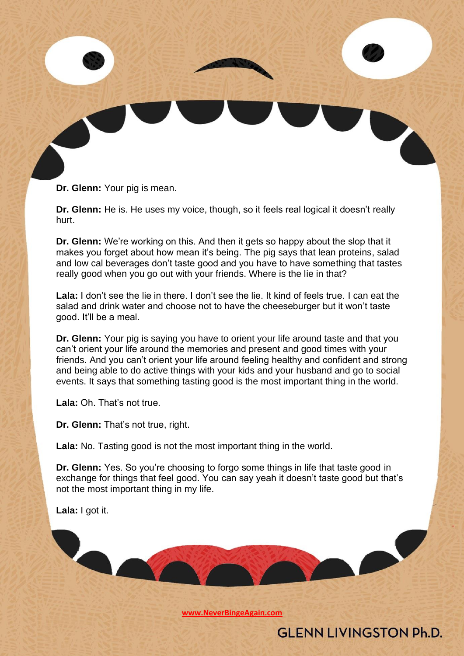**Dr. Glenn:** Your pig is mean.

**Dr. Glenn:** He is. He uses my voice, though, so it feels real logical it doesn't really hurt.

**Dr. Glenn:** We're working on this. And then it gets so happy about the slop that it makes you forget about how mean it's being. The pig says that lean proteins, salad and low cal beverages don't taste good and you have to have something that tastes really good when you go out with your friends. Where is the lie in that?

Lala: I don't see the lie in there. I don't see the lie. It kind of feels true. I can eat the salad and drink water and choose not to have the cheeseburger but it won't taste good. It'll be a meal.

**Dr. Glenn:** Your pig is saying you have to orient your life around taste and that you can't orient your life around the memories and present and good times with your friends. And you can't orient your life around feeling healthy and confident and strong and being able to do active things with your kids and your husband and go to social events. It says that something tasting good is the most important thing in the world.

**Lala:** Oh. That's not true.

**Dr. Glenn:** That's not true, right.

**Lala:** No. Tasting good is not the most important thing in the world.

**Dr. Glenn:** Yes. So you're choosing to forgo some things in life that taste good in exchange for things that feel good. You can say yeah it doesn't taste good but that's not the most important thing in my life.

**Lala:** I got it.

**[www.NeverBingeAgain.com](http://www.neverbingeagain.com/)**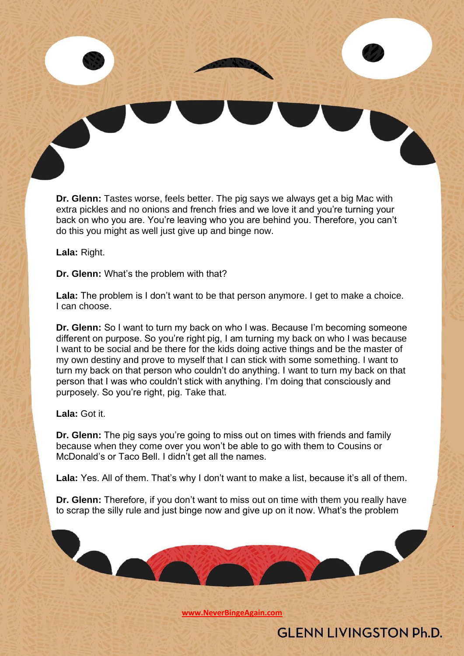**Dr. Glenn:** Tastes worse, feels better. The pig says we always get a big Mac with extra pickles and no onions and french fries and we love it and you're turning your back on who you are. You're leaving who you are behind you. Therefore, you can't do this you might as well just give up and binge now.

**Lala:** Right.

**Dr. Glenn:** What's the problem with that?

**Lala:** The problem is I don't want to be that person anymore. I get to make a choice. I can choose.

**Dr. Glenn:** So I want to turn my back on who I was. Because I'm becoming someone different on purpose. So you're right pig, I am turning my back on who I was because I want to be social and be there for the kids doing active things and be the master of my own destiny and prove to myself that I can stick with some something. I want to turn my back on that person who couldn't do anything. I want to turn my back on that person that I was who couldn't stick with anything. I'm doing that consciously and purposely. So you're right, pig. Take that.

**Lala:** Got it.

**Dr. Glenn:** The pig says you're going to miss out on times with friends and family because when they come over you won't be able to go with them to Cousins or McDonald's or Taco Bell. I didn't get all the names.

Lala: Yes. All of them. That's why I don't want to make a list, because it's all of them.

**Dr. Glenn:** Therefore, if you don't want to miss out on time with them you really have to scrap the silly rule and just binge now and give up on it now. What's the problem

**[www.NeverBingeAgain.com](http://www.neverbingeagain.com/)**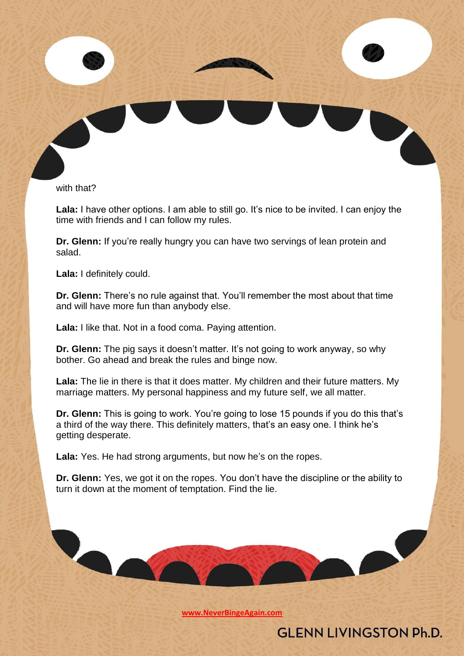

with that?

Lala: I have other options. I am able to still go. It's nice to be invited. I can enjoy the time with friends and I can follow my rules.

**Dr. Glenn:** If you're really hungry you can have two servings of lean protein and salad.

**Lala:** I definitely could.

**Dr. Glenn:** There's no rule against that. You'll remember the most about that time and will have more fun than anybody else.

**Lala:** I like that. Not in a food coma. Paying attention.

**Dr. Glenn:** The pig says it doesn't matter. It's not going to work anyway, so why bother. Go ahead and break the rules and binge now.

**Lala:** The lie in there is that it does matter. My children and their future matters. My marriage matters. My personal happiness and my future self, we all matter.

**Dr. Glenn:** This is going to work. You're going to lose 15 pounds if you do this that's a third of the way there. This definitely matters, that's an easy one. I think he's getting desperate.

**Lala:** Yes. He had strong arguments, but now he's on the ropes.

**Dr. Glenn:** Yes, we got it on the ropes. You don't have the discipline or the ability to turn it down at the moment of temptation. Find the lie.

**[www.NeverBingeAgain.com](http://www.neverbingeagain.com/)**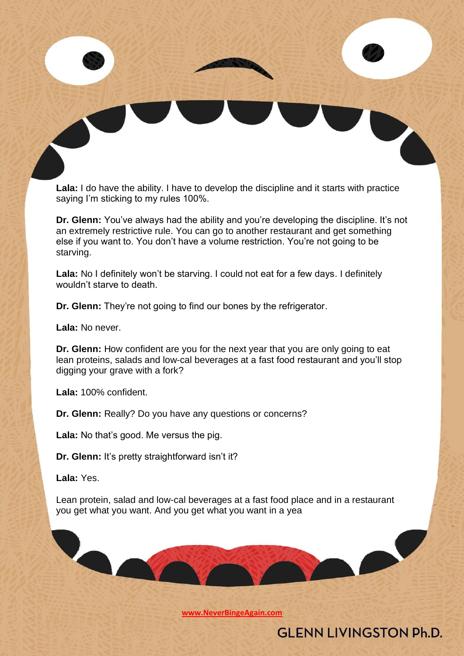**Lala:** I do have the ability. I have to develop the discipline and it starts with practice saying I'm sticking to my rules 100%.

**Dr. Glenn:** You've always had the ability and you're developing the discipline. It's not an extremely restrictive rule. You can go to another restaurant and get something else if you want to. You don't have a volume restriction. You're not going to be starving.

**Lala:** No I definitely won't be starving. I could not eat for a few days. I definitely wouldn't starve to death.

**Dr. Glenn:** They're not going to find our bones by the refrigerator.

**Lala:** No never.

**Dr. Glenn:** How confident are you for the next year that you are only going to eat lean proteins, salads and low-cal beverages at a fast food restaurant and you'll stop digging your grave with a fork?

**Lala:** 100% confident.

 $\bullet$ 

**Dr. Glenn:** Really? Do you have any questions or concerns?

**Lala:** No that's good. Me versus the pig.

**Dr. Glenn:** It's pretty straightforward isn't it?

**Lala:** Yes.

Lean protein, salad and low-cal beverages at a fast food place and in a restaurant you get what you want. And you get what you want in a yea

**[www.NeverBingeAgain.com](http://www.neverbingeagain.com/)**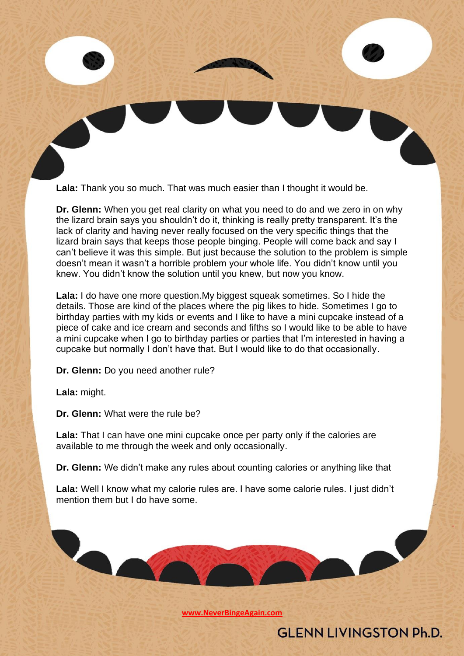**Lala:** Thank you so much. That was much easier than I thought it would be.

**Dr. Glenn:** When you get real clarity on what you need to do and we zero in on why the lizard brain says you shouldn't do it, thinking is really pretty transparent. It's the lack of clarity and having never really focused on the very specific things that the lizard brain says that keeps those people binging. People will come back and say I can't believe it was this simple. But just because the solution to the problem is simple doesn't mean it wasn't a horrible problem your whole life. You didn't know until you knew. You didn't know the solution until you knew, but now you know.

**Lala:** I do have one more question.My biggest squeak sometimes. So I hide the details. Those are kind of the places where the pig likes to hide. Sometimes I go to birthday parties with my kids or events and I like to have a mini cupcake instead of a piece of cake and ice cream and seconds and fifths so I would like to be able to have a mini cupcake when I go to birthday parties or parties that I'm interested in having a cupcake but normally I don't have that. But I would like to do that occasionally.

**Dr. Glenn:** Do you need another rule?

**Lala:** might.

**Dr. Glenn:** What were the rule be?

**Lala:** That I can have one mini cupcake once per party only if the calories are available to me through the week and only occasionally.

**Dr. Glenn:** We didn't make any rules about counting calories or anything like that

**Lala:** Well I know what my calorie rules are. I have some calorie rules. I just didn't mention them but I do have some.

**[www.NeverBingeAgain.com](http://www.neverbingeagain.com/)**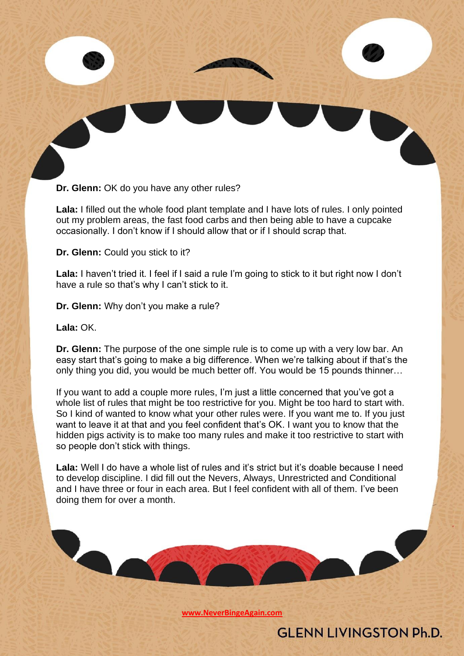**Dr. Glenn:** OK do you have any other rules?

**Lala:** I filled out the whole food plant template and I have lots of rules. I only pointed out my problem areas, the fast food carbs and then being able to have a cupcake occasionally. I don't know if I should allow that or if I should scrap that.

**Dr. Glenn:** Could you stick to it?

Lala: I haven't tried it. I feel if I said a rule I'm going to stick to it but right now I don't have a rule so that's why I can't stick to it.

**Dr. Glenn:** Why don't you make a rule?

**Lala:** OK.

**Dr. Glenn:** The purpose of the one simple rule is to come up with a very low bar. An easy start that's going to make a big difference. When we're talking about if that's the only thing you did, you would be much better off. You would be 15 pounds thinner…

If you want to add a couple more rules, I'm just a little concerned that you've got a whole list of rules that might be too restrictive for you. Might be too hard to start with. So I kind of wanted to know what your other rules were. If you want me to. If you just want to leave it at that and you feel confident that's OK. I want you to know that the hidden pigs activity is to make too many rules and make it too restrictive to start with so people don't stick with things.

Lala: Well I do have a whole list of rules and it's strict but it's doable because I need to develop discipline. I did fill out the Nevers, Always, Unrestricted and Conditional and I have three or four in each area. But I feel confident with all of them. I've been doing them for over a month.

**[www.NeverBingeAgain.com](http://www.neverbingeagain.com/)**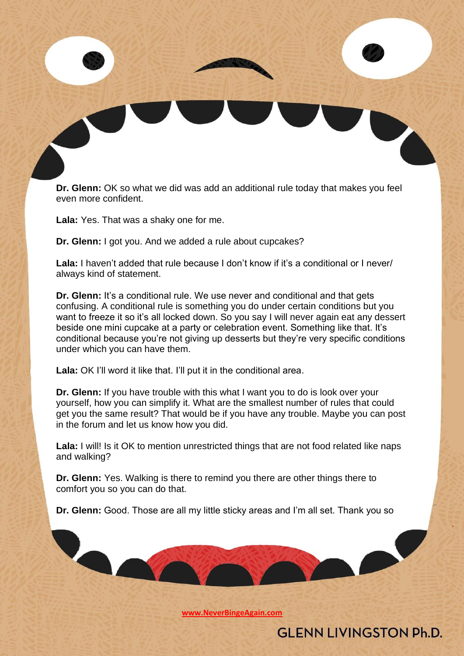**Dr. Glenn:** OK so what we did was add an additional rule today that makes you feel even more confident.

**Lala:** Yes. That was a shaky one for me.

**Dr. Glenn:** I got you. And we added a rule about cupcakes?

**Lala:** I haven't added that rule because I don't know if it's a conditional or I never/ always kind of statement.

**Dr. Glenn:** It's a conditional rule. We use never and conditional and that gets confusing. A conditional rule is something you do under certain conditions but you want to freeze it so it's all locked down. So you say I will never again eat any dessert beside one mini cupcake at a party or celebration event. Something like that. It's conditional because you're not giving up desserts but they're very specific conditions under which you can have them.

**Lala:** OK I'll word it like that. I'll put it in the conditional area.

**Dr. Glenn:** If you have trouble with this what I want you to do is look over your yourself, how you can simplify it. What are the smallest number of rules that could get you the same result? That would be if you have any trouble. Maybe you can post in the forum and let us know how you did.

Lala: I will! Is it OK to mention unrestricted things that are not food related like naps and walking?

**Dr. Glenn:** Yes. Walking is there to remind you there are other things there to comfort you so you can do that.

**Dr. Glenn:** Good. Those are all my little sticky areas and I'm all set. Thank you so

**[www.NeverBingeAgain.com](http://www.neverbingeagain.com/)**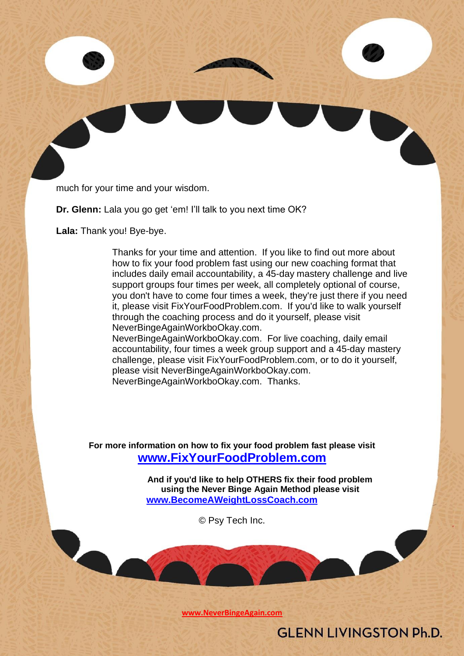much for your time and your wisdom.

**Dr. Glenn:** Lala you go get 'em! I'll talk to you next time OK?

**Lala:** Thank you! Bye-bye.

Thanks for your time and attention. If you like to find out more about how to fix your food problem fast using our new coaching format that includes daily email accountability, a 45-day mastery challenge and live support groups four times per week, all completely optional of course, you don't have to come four times a week, they're just there if you need it, please visit FixYourFoodProblem.com. If you'd like to walk yourself through the coaching process and do it yourself, please visit NeverBingeAgainWorkboOkay.com.

NeverBingeAgainWorkboOkay.com. For live coaching, daily email accountability, four times a week group support and a 45-day mastery challenge, please visit FixYourFoodProblem.com, or to do it yourself, please visit NeverBingeAgainWorkboOkay.com. NeverBingeAgainWorkboOkay.com. Thanks.

**For more information on how to fix your food problem fast please visit [www.FixYourFoodProblem.com](http://www.fixyourfoodproblem.com/)**

> **And if you'd like to help OTHERS fix their food problem using the Never Binge Again Method please visit [www.BecomeAWeightLossCoach.com](http://www.becomeaweightlosscoach.com/)**

> > © Psy Tech Inc.

**[www.NeverBingeAgain.com](http://www.neverbingeagain.com/)**